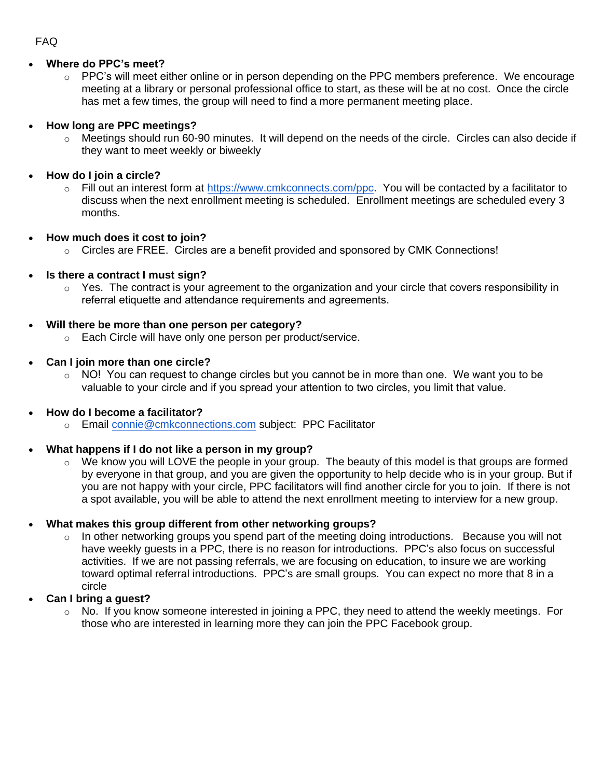## • **Where do PPC's meet?**

o PPC's will meet either online or in person depending on the PPC members preference. We encourage meeting at a library or personal professional office to start, as these will be at no cost. Once the circle has met a few times, the group will need to find a more permanent meeting place.

### • **How long are PPC meetings?**

- $\circ$  Meetings should run 60-90 minutes. It will depend on the needs of the circle. Circles can also decide if they want to meet weekly or biweekly
- **How do I join a circle?**
	- o Fill out an interest form at [https://www.cmkconnects.com/p](https://www.cmkconnects.com/power-partner-circles)pc. You will be contacted by a facilitator to discuss when the next enrollment meeting is scheduled. Enrollment meetings are scheduled every 3 months.
- **How much does it cost to join?**
	- $\circ$  Circles are FREE. Circles are a benefit provided and sponsored by CMK Connections!
- **Is there a contract I must sign?**
	- $\circ$  Yes. The contract is your agreement to the organization and your circle that covers responsibility in referral etiquette and attendance requirements and agreements.

#### • **Will there be more than one person per category?**

- o Each Circle will have only one person per product/service.
- **Can I join more than one circle?**
	- $\circ$  NO! You can request to change circles but you cannot be in more than one. We want you to be valuable to your circle and if you spread your attention to two circles, you limit that value.

#### • **How do I become a facilitator?**

o Email [connie@cmkconnections.com](mailto:connie@cmkconnections.com) subject: PPC Facilitator

#### • **What happens if I do not like a person in my group?**

o We know you will LOVE the people in your group. The beauty of this model is that groups are formed by everyone in that group, and you are given the opportunity to help decide who is in your group. But if you are not happy with your circle, PPC facilitators will find another circle for you to join. If there is not a spot available, you will be able to attend the next enrollment meeting to interview for a new group.

#### • **What makes this group different from other networking groups?**

- $\circ$  In other networking groups you spend part of the meeting doing introductions. Because you will not have weekly guests in a PPC, there is no reason for introductions. PPC's also focus on successful activities. If we are not passing referrals, we are focusing on education, to insure we are working toward optimal referral introductions. PPC's are small groups. You can expect no more that 8 in a circle
- **Can I bring a guest?**
	- o No. If you know someone interested in joining a PPC, they need to attend the weekly meetings. For those who are interested in learning more they can join the PPC Facebook group.

#### FAQ